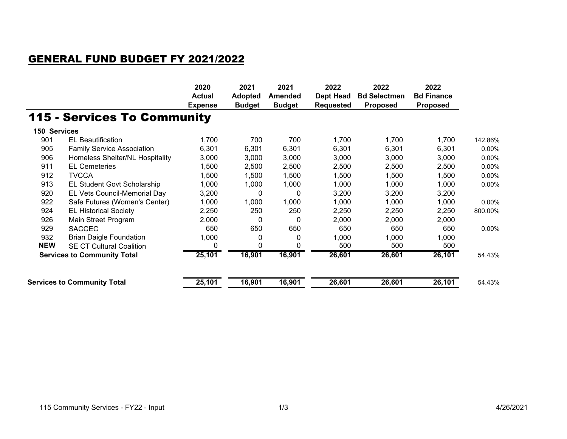## GENERAL FUND BUDGET FY 2021/2022

|                                    |                                    | 2020<br><b>Actual</b><br><b>Expense</b> | 2021<br><b>Adopted</b><br><b>Budget</b> | 2021<br><b>Amended</b><br><b>Budget</b> | 2022<br><b>Dept Head</b><br><b>Requested</b> | 2022<br><b>Bd Selectmen</b><br><b>Proposed</b> | 2022<br><b>Bd Finance</b><br><b>Proposed</b> |         |
|------------------------------------|------------------------------------|-----------------------------------------|-----------------------------------------|-----------------------------------------|----------------------------------------------|------------------------------------------------|----------------------------------------------|---------|
|                                    | <b>115 - Services To Community</b> |                                         |                                         |                                         |                                              |                                                |                                              |         |
| 150 Services                       |                                    |                                         |                                         |                                         |                                              |                                                |                                              |         |
| 901                                | <b>EL Beautification</b>           | 1,700                                   | 700                                     | 700                                     | 1,700                                        | 1,700                                          | 1,700                                        | 142.86% |
| 905                                | <b>Family Service Association</b>  | 6,301                                   | 6,301                                   | 6,301                                   | 6,301                                        | 6,301                                          | 6,301                                        | 0.00%   |
| 906                                | Homeless Shelter/NL Hospitality    | 3,000                                   | 3,000                                   | 3,000                                   | 3,000                                        | 3,000                                          | 3,000                                        | 0.00%   |
| 911                                | <b>EL Cemeteries</b>               | 1,500                                   | 2,500                                   | 2,500                                   | 2,500                                        | 2,500                                          | 2,500                                        | 0.00%   |
| 912                                | <b>TVCCA</b>                       | 1,500                                   | 1,500                                   | 1,500                                   | 1,500                                        | 1,500                                          | 1,500                                        | 0.00%   |
| 913                                | EL Student Govt Scholarship        | 1,000                                   | 1,000                                   | 1,000                                   | 1,000                                        | 1,000                                          | 1,000                                        | 0.00%   |
| 920                                | EL Vets Council-Memorial Day       | 3,200                                   | 0                                       | 0                                       | 3,200                                        | 3,200                                          | 3,200                                        |         |
| 922                                | Safe Futures (Women's Center)      | 1,000                                   | 1,000                                   | 1,000                                   | 1,000                                        | 1,000                                          | 1,000                                        | 0.00%   |
| 924                                | <b>EL Historical Society</b>       | 2,250                                   | 250                                     | 250                                     | 2,250                                        | 2,250                                          | 2,250                                        | 800.00% |
| 926                                | Main Street Program                | 2,000                                   | 0                                       | 0                                       | 2,000                                        | 2,000                                          | 2,000                                        |         |
| 929                                | <b>SACCEC</b>                      | 650                                     | 650                                     | 650                                     | 650                                          | 650                                            | 650                                          | 0.00%   |
| 932                                | <b>Brian Daigle Foundation</b>     | 1,000                                   | 0                                       | 0                                       | 1,000                                        | 1,000                                          | 1,000                                        |         |
| <b>NEW</b>                         | <b>SE CT Cultural Coalition</b>    | 0                                       | 0                                       |                                         | 500                                          | 500                                            | 500                                          |         |
| <b>Services to Community Total</b> |                                    | 25,101                                  | 16,901                                  | 16,901                                  | 26,601                                       | 26,601                                         | 26,101                                       | 54.43%  |
|                                    | <b>Services to Community Total</b> | 25,101                                  | 16,901                                  | 16,901                                  | 26,601                                       | 26,601                                         | 26,101                                       | 54.43%  |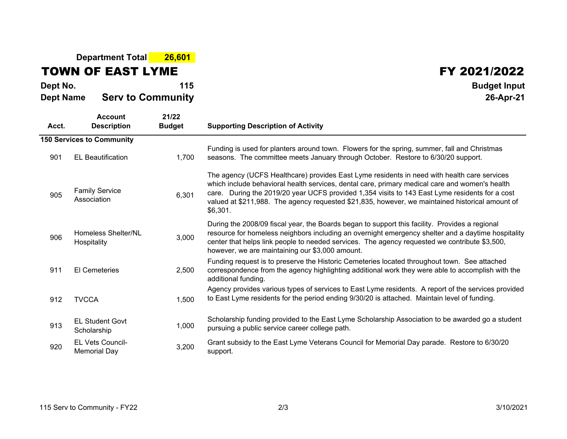## **Department Total 26,601**

TOWN OF EAST LYME

## FY 2021/2022

| Dept No.<br><b>Dept Name</b> | <b>Serv to Community</b>                | 115                    | <b>Budget Input</b><br>26-Apr-21                                                                                                                                                                                                                                                                                                                                                                               |  |  |
|------------------------------|-----------------------------------------|------------------------|----------------------------------------------------------------------------------------------------------------------------------------------------------------------------------------------------------------------------------------------------------------------------------------------------------------------------------------------------------------------------------------------------------------|--|--|
| Acct.                        | <b>Account</b><br><b>Description</b>    | 21/22<br><b>Budget</b> | <b>Supporting Description of Activity</b>                                                                                                                                                                                                                                                                                                                                                                      |  |  |
|                              | <b>150 Services to Community</b>        |                        |                                                                                                                                                                                                                                                                                                                                                                                                                |  |  |
| 901                          | <b>EL Beautification</b>                | 1,700                  | Funding is used for planters around town. Flowers for the spring, summer, fall and Christmas<br>seasons. The committee meets January through October. Restore to 6/30/20 support.                                                                                                                                                                                                                              |  |  |
| 905                          | <b>Family Service</b><br>Association    | 6,301                  | The agency (UCFS Healthcare) provides East Lyme residents in need with health care services<br>which include behavioral health services, dental care, primary medical care and women's health<br>care. During the 2019/20 year UCFS provided 1,354 visits to 143 East Lyme residents for a cost<br>valued at \$211,988. The agency requested \$21,835, however, we maintained historical amount of<br>\$6,301. |  |  |
| 906                          | Homeless Shelter/NL<br>Hospitality      | 3,000                  | During the 2008/09 fiscal year, the Boards began to support this facility. Provides a regional<br>resource for homeless neighbors including an overnight emergency shelter and a daytime hospitality<br>center that helps link people to needed services. The agency requested we contribute \$3,500,<br>however, we are maintaining our \$3,000 amount.                                                       |  |  |
| 911                          | <b>El Cemeteries</b>                    | 2,500                  | Funding request is to preserve the Historic Cemeteries located throughout town. See attached<br>correspondence from the agency highlighting additional work they were able to accomplish with the<br>additional funding.                                                                                                                                                                                       |  |  |
| 912                          | <b>TVCCA</b>                            | 1,500                  | Agency provides various types of services to East Lyme residents. A report of the services provided<br>to East Lyme residents for the period ending 9/30/20 is attached. Maintain level of funding.                                                                                                                                                                                                            |  |  |
| 913                          | <b>EL Student Govt</b><br>Scholarship   | 1,000                  | Scholarship funding provided to the East Lyme Scholarship Association to be awarded go a student<br>pursuing a public service career college path.                                                                                                                                                                                                                                                             |  |  |
| 920                          | EL Vets Council-<br><b>Memorial Day</b> | 3,200                  | Grant subsidy to the East Lyme Veterans Council for Memorial Day parade. Restore to 6/30/20<br>support.                                                                                                                                                                                                                                                                                                        |  |  |